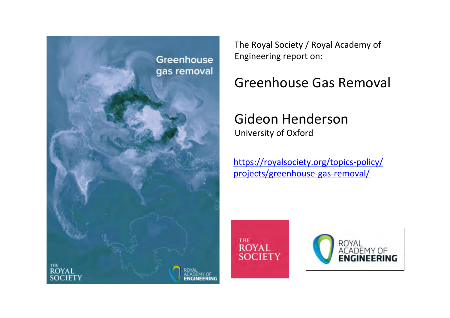

The Royal Society / Royal Academy of Engineering report on:

# Greenhouse Gas Removal

# Gideon Henderson University of Oxford

https://royalsociety.org/topics-policy/ projects/greenhouse-gas-removal/

THE **ROYAL SOCIETY** 

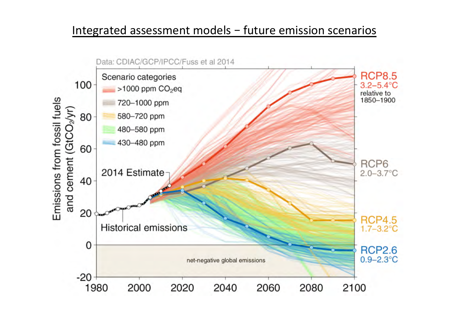### Integrated assessment models  $-$  future emission scenarios

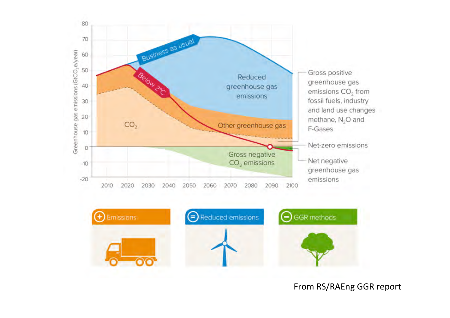

From RS/RAEng GGR report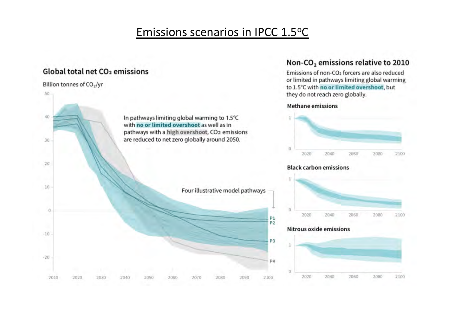## Emissions scenarios in IPCC 1.5°C

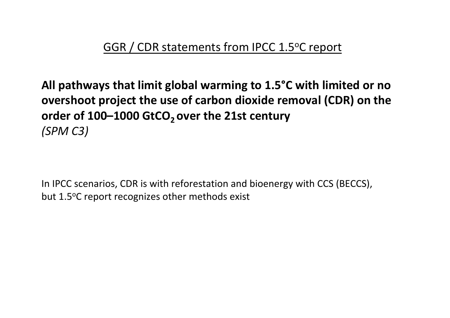All pathways that limit global warming to 1.5<sup>o</sup>C with limited or no **overshoot project the use of carbon dioxide removal (CDR) on the** order of 100–1000 GtCO<sub>2</sub> over the 21st century *(SPM C3)* 

In IPCC scenarios, CDR is with reforestation and bioenergy with CCS (BECCS), but 1.5°C report recognizes other methods exist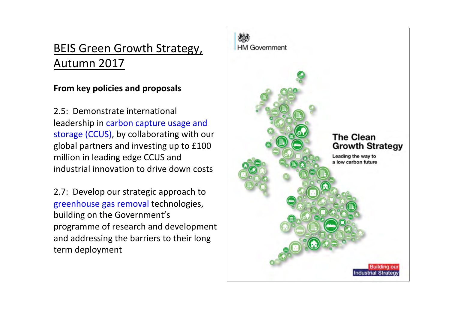# BEIS Green Growth Strategy, Autumn 2017

### **From key policies and proposals**

2.5: Demonstrate international leadership in carbon capture usage and storage (CCUS), by collaborating with our global partners and investing up to £100 million in leading edge CCUS and industrial innovation to drive down costs

2.7: Develop our strategic approach to greenhouse gas removal technologies, building on the Government's programme of research and development and addressing the barriers to their long term deployment

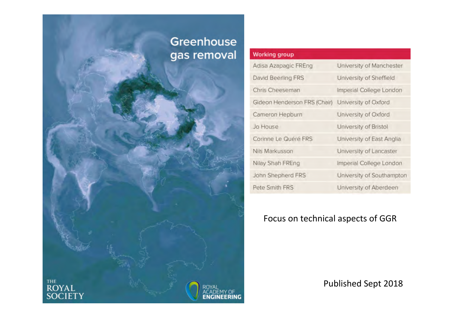### Greenhouse gas removal

ENG

THE<br>**ROYAL**<br>SOCIETY

#### **Working group**

| Adisa Azapagic FREng         | University of Manchester  |
|------------------------------|---------------------------|
| David Beerling FRS           | University of Sheffield   |
| Chris Cheeseman              | Imperial College London   |
| Gideon Henderson FRS (Chair) | University of Oxford      |
| Cameron Hepburn              | University of Oxford      |
| Jo House                     | University of Bristol     |
| Corinne Le Quéré FRS         | University of East Anglia |
| Nils Markusson               | University of Lancaster   |
| Nilay Shah FREng             | Imperial College London   |
| John Shepherd FRS            | University of Southampton |
| Pete Smith FRS               | University of Aberdeen    |

### Focus on technical aspects of GGR

Published Sept 2018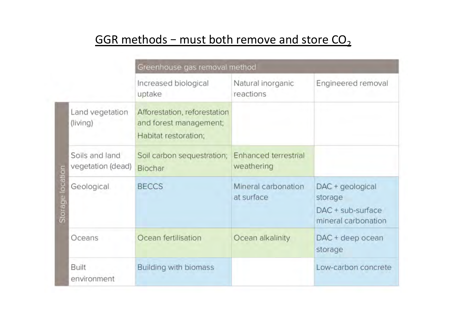# GGR methods – must both remove and store  $CO<sub>2</sub>$

|                     |                                     |                                                                                | Greenhouse gas removal method             |                                                                         |  |
|---------------------|-------------------------------------|--------------------------------------------------------------------------------|-------------------------------------------|-------------------------------------------------------------------------|--|
|                     |                                     | Increased biological<br>uptake                                                 | Natural inorganic<br>reactions            | Engineered removal                                                      |  |
|                     | Land vegetation<br>(living)         | Afforestation, reforestation<br>and forest management;<br>Habitat restoration; |                                           |                                                                         |  |
|                     | Soils and land<br>vegetation (dead) | Soil carbon sequestration;<br>Biochar                                          | <b>Enhanced terrestrial</b><br>weathering |                                                                         |  |
| location<br>Storage | Geological                          | <b>BECCS</b>                                                                   | Mineral carbonation<br>at surface         | DAC + geological<br>storage<br>DAC + sub-surface<br>mineral carbonation |  |
|                     | Oceans                              | Ocean fertilisation                                                            | Ocean alkalinity                          | DAC + deep ocean<br>storage                                             |  |
|                     | <b>Built</b><br>environment         | Building with biomass                                                          |                                           | Low-carbon concrete                                                     |  |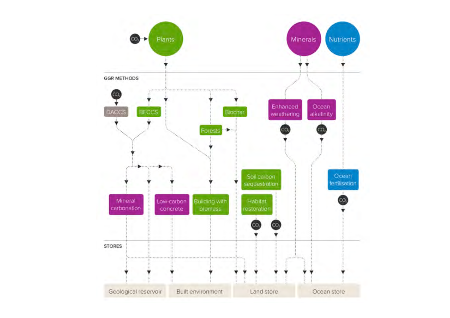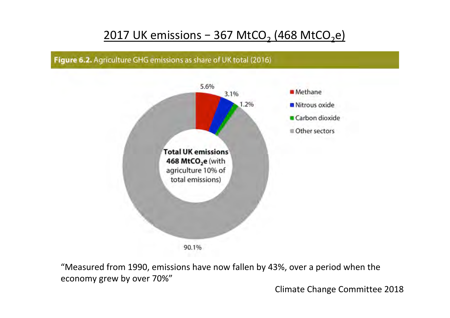## 2017 UK emissions  $-$  367 MtCO<sub>2</sub> (468 MtCO<sub>2</sub>e)





"Measured from 1990, emissions have now fallen by 43%, over a period when the economy grew by over 70%"

Climate Change Committee 2018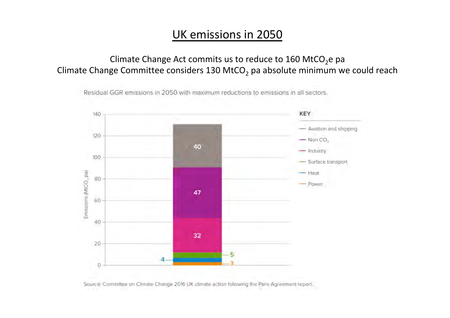### UK emissions in 2050

Climate Change Act commits us to reduce to 160 MtCO<sub>2</sub>e pa Climate Change Committee considers 130 MtCO<sub>2</sub> pa absolute minimum we could reach



Residual GGR emissions in 2050 with maximum reductions to emissions in all sectors.

Source: Committee on Climate Change 2016 UK climate action following the Paris Agreement report.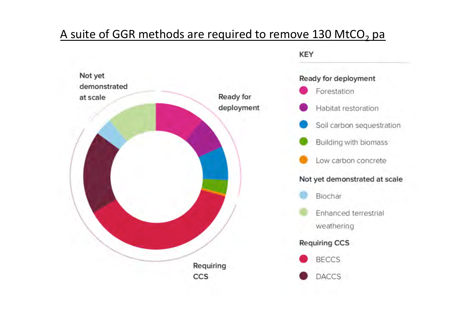## A suite of GGR methods are required to remove 130 MtCO<sub>2</sub> pa

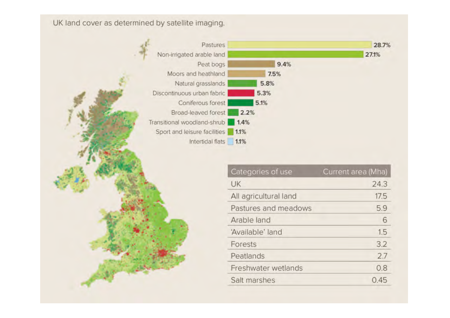UK land cover as determined by satellite imaging.



| Categories of use     | Current area (Mha) |
|-----------------------|--------------------|
| UK                    | 24.3               |
| All agricultural land | 17.5               |
| Pastures and meadows  | 5.9                |
| Arable land           | 6                  |
| 'Available' land      | 1.5                |
| Forests               | 3.2                |
| Peatlands             | 2.7                |
| Freshwater wetlands   | 0.8                |
| Salt marshes          | 0.45               |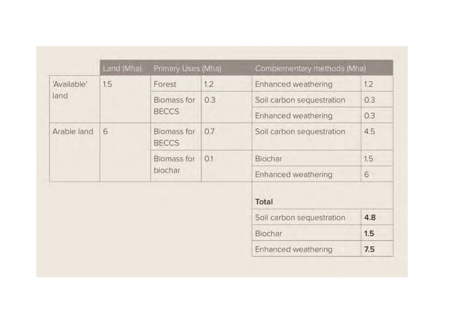|             | Land (Mha) | Primary Uses (Mha)                 |     | Complementary methods (Mha) |     |
|-------------|------------|------------------------------------|-----|-----------------------------|-----|
| 'Available' | 1.5        | Forest                             | 1.2 | Enhanced weathering         | 1.2 |
| land        |            | <b>Biomass for</b><br><b>BECCS</b> | 0.3 | Soil carbon sequestration   | 0.3 |
|             |            |                                    |     | Enhanced weathering         | 0.3 |
| Arable land | 6          | Biomass for<br><b>BECCS</b>        | 0.7 | Soil carbon sequestration   | 4.5 |
|             |            | <b>Biomass for</b><br>biochar      | O.1 | Biochar                     | 1.5 |
|             |            |                                    |     | <b>Enhanced weathering</b>  | 6   |
|             |            |                                    |     | Total                       |     |
|             |            |                                    |     | Soil carbon sequestration   | 4.8 |
|             |            |                                    |     | Biochar                     | 1.5 |
|             |            |                                    |     | Enhanced weathering         | 7.5 |